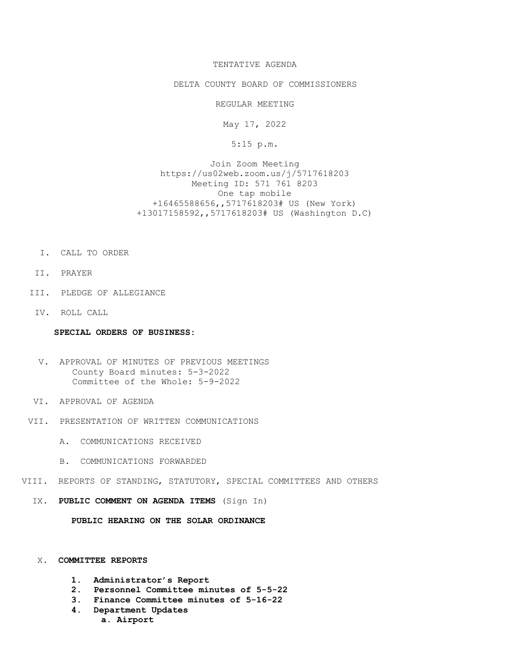# TENTATIVE AGENDA

## DELTA COUNTY BOARD OF COMMISSIONERS

REGULAR MEETING

May 17, 2022

5:15 p.m.

Join Zoom Meeting https://us02web.zoom.us/j/5717618203 Meeting ID: 571 761 8203 One tap mobile +16465588656,,5717618203# US (New York) +13017158592,,5717618203# US (Washington D.C)

- I. CALL TO ORDER
- II. PRAYER
- III. PLEDGE OF ALLEGIANCE
- IV. ROLL CALL

### SPECIAL ORDERS OF BUSINESS:

- V. APPROVAL OF MINUTES OF PREVIOUS MEETINGS County Board minutes: 5-3-2022 Committee of the Whole: 5-9-2022
- VI. APPROVAL OF AGENDA
- VII. PRESENTATION OF WRITTEN COMMUNICATIONS
	- A. COMMUNICATIONS RECEIVED
	- B. COMMUNICATIONS FORWARDED
- VIII. REPORTS OF STANDING, STATUTORY, SPECIAL COMMITTEES AND OTHERS
	- IX. PUBLIC COMMENT ON AGENDA ITEMS (Sign In)

PUBLIC HEARING ON THE SOLAR ORDINANCE

### X. COMMITTEE REPORTS

- 1. Administrator's Report
- 2. Personnel Committee minutes of 5-5-22
- 3. Finance Committee minutes of 5-16-22
- 4. Department Updates
	- a. Airport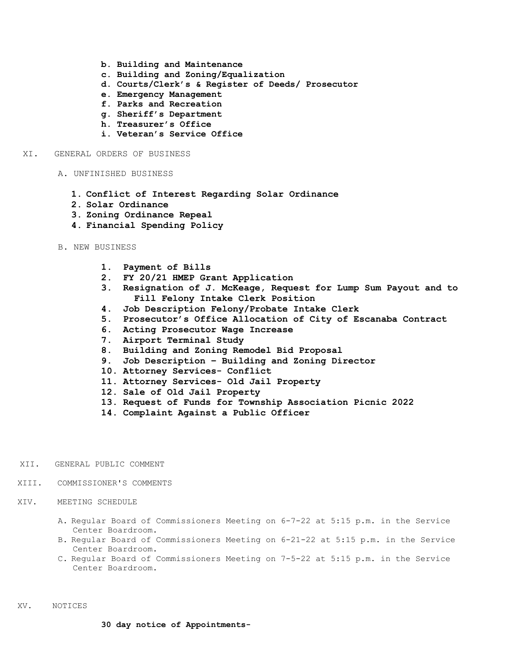- b. Building and Maintenance
- c. Building and Zoning/Equalization
- d. Courts/Clerk's & Register of Deeds/ Prosecutor
- e. Emergency Management
- f. Parks and Recreation
- g. Sheriff's Department
- h. Treasurer's Office
- i. Veteran's Service Office

#### XI. GENERAL ORDERS OF BUSINESS

- A. UNFINISHED BUSINESS
	- 1. Conflict of Interest Regarding Solar Ordinance
	- 2. Solar Ordinance
	- 3. Zoning Ordinance Repeal
	- 4. Financial Spending Policy
- B. NEW BUSINESS
	- 1. Payment of Bills
	- 2. FY 20/21 HMEP Grant Application
	- 3. Resignation of J. McKeage, Request for Lump Sum Payout and to Fill Felony Intake Clerk Position
	- 4. Job Description Felony/Probate Intake Clerk
	- 5. Prosecutor's Office Allocation of City of Escanaba Contract
	- 6. Acting Prosecutor Wage Increase
	- 7. Airport Terminal Study
	- 8. Building and Zoning Remodel Bid Proposal
	- 9. Job Description Building and Zoning Director
	- 10. Attorney Services- Conflict
	- 11. Attorney Services- Old Jail Property
	- 12. Sale of Old Jail Property
	- 13. Request of Funds for Township Association Picnic 2022
	- 14. Complaint Against a Public Officer
- XII. GENERAL PUBLIC COMMENT
- XIII. COMMISSIONER'S COMMENTS
- XIV. MEETING SCHEDULE
	- A. Regular Board of Commissioners Meeting on 6-7-22 at 5:15 p.m. in the Service Center Boardroom.
	- B. Regular Board of Commissioners Meeting on 6-21-22 at 5:15 p.m. in the Service Center Boardroom.
	- C. Regular Board of Commissioners Meeting on 7-5-22 at 5:15 p.m. in the Service Center Boardroom.

XV. NOTICES